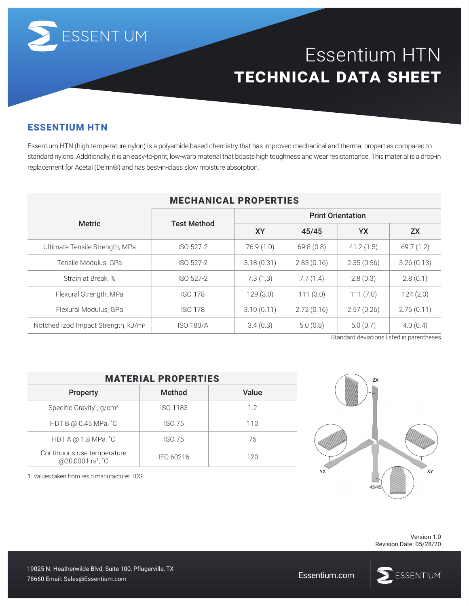

# Essentium HTN **technical data sheet**

#### ESSENTIUM HTN

Essentium HTN (high-temperature nylon) is a polyamide based chemistry that has improved mechanical and thermal properties compared to standard nylons. Additionally, it is an easy-to-print, low-warp material that boasts high toughness and wear resistantance. This material is a drop-in replacement for Acetal (Delrin®) and has best-in-class slow moisture absorption.

| <b>MECHANICAL PROPERTIES</b>                    |                    |                          |            |            |            |  |  |  |
|-------------------------------------------------|--------------------|--------------------------|------------|------------|------------|--|--|--|
| <b>Metric</b>                                   | <b>Test Method</b> | <b>Print Orientation</b> |            |            |            |  |  |  |
|                                                 |                    | <b>XY</b>                | 45/45      | YX         | <b>ZX</b>  |  |  |  |
| Ultimate Tensile Strength, MPa                  | ISO 527-2          | 76.9(1.0)                | 69.8(0.8)  | 41.2(1.5)  | 69.7(1.2)  |  |  |  |
| Tensile Modulus, GPa                            | ISO 527-2          | 3.18(0.31)               | 2.83(0.16) | 2.35(0.56) | 3.26(0.13) |  |  |  |
| Strain at Break, %                              | ISO 527-2          | 7.3(1.3)                 | 7.7(1.4)   | 2.8(0.3)   | 2.8(0.1)   |  |  |  |
| Flexural Strength, MPa                          | <b>ISO 178</b>     | 129(3.0)                 | 111(3.0)   | 111(7.0)   | 124(2.0)   |  |  |  |
| Flexural Modulus, GPa                           | <b>ISO 178</b>     | 3.10(0.11)               | 2.72(0.16) | 2.57(0.26) | 2.76(0.11) |  |  |  |
| Notched Izod Impact Strength, kJ/m <sup>2</sup> | <b>ISO 180/A</b>   | 3.4(0.3)                 | 5.0(0.8)   | 5.0(0.7)   | 4.0(0.4)   |  |  |  |

## MECHANICAL PROPERTIES

Standard deviations listed in parentheses

| <b>MATERIAL PROPERTIES</b>                                  |                 |       |  |  |  |  |
|-------------------------------------------------------------|-----------------|-------|--|--|--|--|
| <b>Property</b>                                             | Method          | Value |  |  |  |  |
| Specific Gravity <sup>1</sup> , $g/cm3$                     | <b>ISO 1183</b> | 12    |  |  |  |  |
| HDT B @ 0.45 MPa, °C                                        | ISO 75          | 110   |  |  |  |  |
| HDT A @ 1.8 MPa, °C                                         | ISO 75          | 75    |  |  |  |  |
| Continuous use temperature<br>@20,000 hrs <sup>1</sup> , °C | IEC 60216       | 120   |  |  |  |  |

1 Values taken from resin manufacturer TDS



Version 1.0 Revision Date: 05/28/20